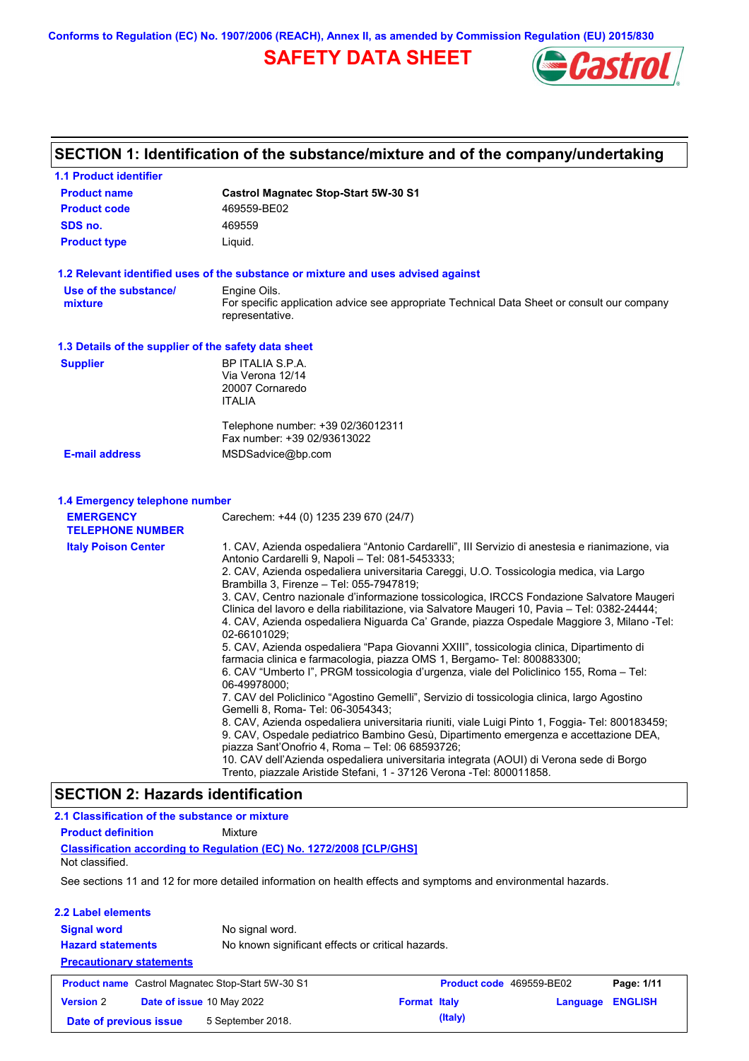**Conforms to Regulation (EC) No. 1907/2006 (REACH), Annex II, as amended by Commission Regulation (EU) 2015/830**

# **SAFETY DATA SHEET**



## **SECTION 1: Identification of the substance/mixture and of the company/undertaking**

| <b>1.1 Product identifier</b>                        |                                                                                                                                                                                                                                                                                                                                                                                                                                                                                                                                                                                                                                                                                                                                                                                                                                                                                                                                                                                                                                                                                                                                                                                                                                                                                                                                                                                                                                             |
|------------------------------------------------------|---------------------------------------------------------------------------------------------------------------------------------------------------------------------------------------------------------------------------------------------------------------------------------------------------------------------------------------------------------------------------------------------------------------------------------------------------------------------------------------------------------------------------------------------------------------------------------------------------------------------------------------------------------------------------------------------------------------------------------------------------------------------------------------------------------------------------------------------------------------------------------------------------------------------------------------------------------------------------------------------------------------------------------------------------------------------------------------------------------------------------------------------------------------------------------------------------------------------------------------------------------------------------------------------------------------------------------------------------------------------------------------------------------------------------------------------|
| <b>Product name</b>                                  | <b>Castrol Magnatec Stop-Start 5W-30 S1</b>                                                                                                                                                                                                                                                                                                                                                                                                                                                                                                                                                                                                                                                                                                                                                                                                                                                                                                                                                                                                                                                                                                                                                                                                                                                                                                                                                                                                 |
| <b>Product code</b>                                  | 469559-BE02                                                                                                                                                                                                                                                                                                                                                                                                                                                                                                                                                                                                                                                                                                                                                                                                                                                                                                                                                                                                                                                                                                                                                                                                                                                                                                                                                                                                                                 |
| SDS no.                                              | 469559                                                                                                                                                                                                                                                                                                                                                                                                                                                                                                                                                                                                                                                                                                                                                                                                                                                                                                                                                                                                                                                                                                                                                                                                                                                                                                                                                                                                                                      |
| <b>Product type</b>                                  | Liquid.                                                                                                                                                                                                                                                                                                                                                                                                                                                                                                                                                                                                                                                                                                                                                                                                                                                                                                                                                                                                                                                                                                                                                                                                                                                                                                                                                                                                                                     |
|                                                      | 1.2 Relevant identified uses of the substance or mixture and uses advised against                                                                                                                                                                                                                                                                                                                                                                                                                                                                                                                                                                                                                                                                                                                                                                                                                                                                                                                                                                                                                                                                                                                                                                                                                                                                                                                                                           |
| Use of the substance/<br>mixture                     | Engine Oils.<br>For specific application advice see appropriate Technical Data Sheet or consult our company<br>representative.                                                                                                                                                                                                                                                                                                                                                                                                                                                                                                                                                                                                                                                                                                                                                                                                                                                                                                                                                                                                                                                                                                                                                                                                                                                                                                              |
| 1.3 Details of the supplier of the safety data sheet |                                                                                                                                                                                                                                                                                                                                                                                                                                                                                                                                                                                                                                                                                                                                                                                                                                                                                                                                                                                                                                                                                                                                                                                                                                                                                                                                                                                                                                             |
| <b>Supplier</b>                                      | BP ITALIA S.P.A.<br>Via Verona 12/14<br>20007 Cornaredo<br><b>ITALIA</b>                                                                                                                                                                                                                                                                                                                                                                                                                                                                                                                                                                                                                                                                                                                                                                                                                                                                                                                                                                                                                                                                                                                                                                                                                                                                                                                                                                    |
|                                                      | Telephone number: +39 02/36012311<br>Fax number: +39 02/93613022                                                                                                                                                                                                                                                                                                                                                                                                                                                                                                                                                                                                                                                                                                                                                                                                                                                                                                                                                                                                                                                                                                                                                                                                                                                                                                                                                                            |
| <b>E-mail address</b>                                | MSDSadvice@bp.com                                                                                                                                                                                                                                                                                                                                                                                                                                                                                                                                                                                                                                                                                                                                                                                                                                                                                                                                                                                                                                                                                                                                                                                                                                                                                                                                                                                                                           |
| 1.4 Emergency telephone number<br><b>EMERGENCY</b>   | Carechem: +44 (0) 1235 239 670 (24/7)                                                                                                                                                                                                                                                                                                                                                                                                                                                                                                                                                                                                                                                                                                                                                                                                                                                                                                                                                                                                                                                                                                                                                                                                                                                                                                                                                                                                       |
| <b>TELEPHONE NUMBER</b>                              |                                                                                                                                                                                                                                                                                                                                                                                                                                                                                                                                                                                                                                                                                                                                                                                                                                                                                                                                                                                                                                                                                                                                                                                                                                                                                                                                                                                                                                             |
| <b>Italy Poison Center</b>                           | 1. CAV, Azienda ospedaliera "Antonio Cardarelli", III Servizio di anestesia e rianimazione, via<br>Antonio Cardarelli 9, Napoli - Tel: 081-5453333;<br>2. CAV, Azienda ospedaliera universitaria Careggi, U.O. Tossicologia medica, via Largo<br>Brambilla 3, Firenze - Tel: 055-7947819;<br>3. CAV, Centro nazionale d'informazione tossicologica, IRCCS Fondazione Salvatore Maugeri<br>Clinica del lavoro e della riabilitazione, via Salvatore Maugeri 10, Pavia – Tel: 0382-24444;<br>4. CAV, Azienda ospedaliera Niguarda Ca' Grande, piazza Ospedale Maggiore 3, Milano -Tel:<br>02-66101029;<br>5. CAV, Azienda ospedaliera "Papa Giovanni XXIII", tossicologia clinica, Dipartimento di<br>farmacia clinica e farmacologia, piazza OMS 1, Bergamo- Tel: 800883300;<br>6. CAV "Umberto I", PRGM tossicologia d'urgenza, viale del Policlinico 155, Roma – Tel:<br>06-49978000:<br>7. CAV del Policlinico "Agostino Gemelli", Servizio di tossicologia clinica, largo Agostino<br>Gemelli 8, Roma- Tel: 06-3054343;<br>8. CAV, Azienda ospedaliera universitaria riuniti, viale Luigi Pinto 1, Foggia- Tel: 800183459;<br>9. CAV, Ospedale pediatrico Bambino Gesù, Dipartimento emergenza e accettazione DEA,<br>piazza Sant'Onofrio 4, Roma - Tel: 06 68593726;<br>10. CAV dell'Azienda ospedaliera universitaria integrata (AOUI) di Verona sede di Borgo<br>Trento, piazzale Aristide Stefani, 1 - 37126 Verona -Tel: 800011858. |
| <b>SECTION 2: Hazards identification</b>             |                                                                                                                                                                                                                                                                                                                                                                                                                                                                                                                                                                                                                                                                                                                                                                                                                                                                                                                                                                                                                                                                                                                                                                                                                                                                                                                                                                                                                                             |

#### See sections 11 and 12 for more detailed information on health effects and symptoms and environmental hazards. **Classification according to Regulation (EC) No. 1272/2008 [CLP/GHS] 2.1 Classification of the substance or mixture Product definition** Mixture **2.2 Label elements Signal word Hazard statements Precautionary statements** No signal word. No known significant effects or critical hazards. Not classified. **Product name** Castrol Magnatec Stop-Start 5W-30 S1 **Product code** 469559-BE02 **Page: 1/11 Version** 2 **Date of issue** 10 May 2022 **Format Italy Language ENGLISH Date of previous issue 5 September 2018. (Italy)** (Italy)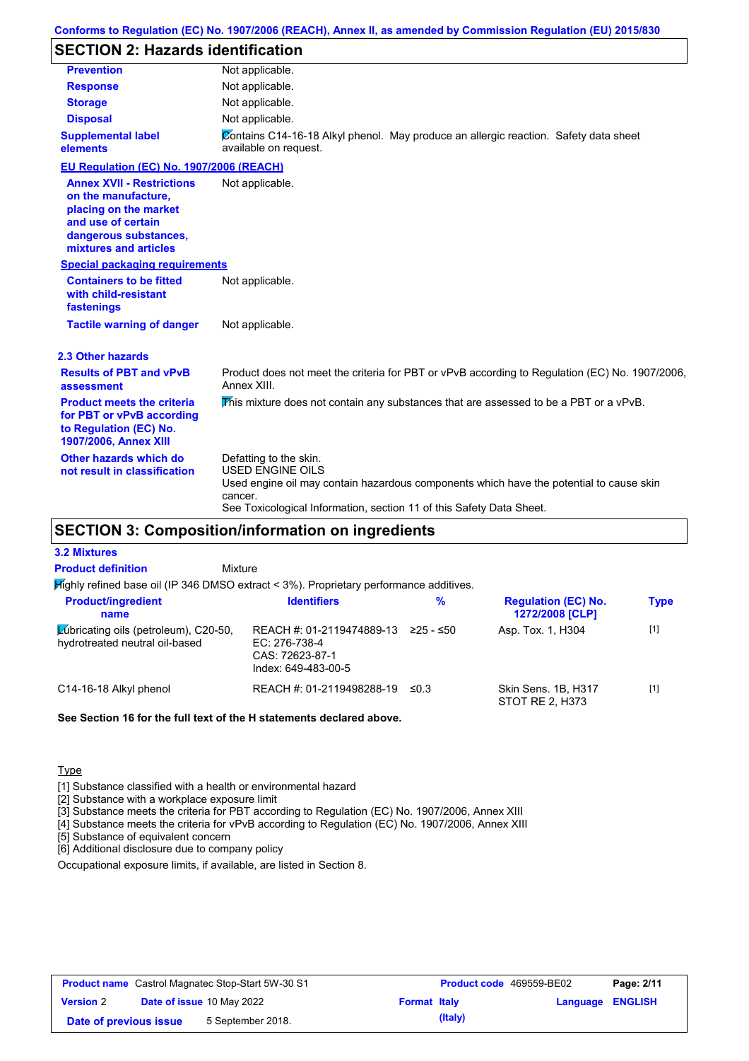# **SECTION 2: Hazards identification**

| <b>Prevention</b>                                                                                                                                        | Not applicable.                                                                                                                                                                                                                 |
|----------------------------------------------------------------------------------------------------------------------------------------------------------|---------------------------------------------------------------------------------------------------------------------------------------------------------------------------------------------------------------------------------|
| <b>Response</b>                                                                                                                                          | Not applicable.                                                                                                                                                                                                                 |
| <b>Storage</b>                                                                                                                                           | Not applicable.                                                                                                                                                                                                                 |
| <b>Disposal</b>                                                                                                                                          | Not applicable.                                                                                                                                                                                                                 |
| <b>Supplemental label</b><br>elements                                                                                                                    | Contains C14-16-18 Alkyl phenol. May produce an allergic reaction. Safety data sheet<br>available on request.                                                                                                                   |
| EU Regulation (EC) No. 1907/2006 (REACH)                                                                                                                 |                                                                                                                                                                                                                                 |
| <b>Annex XVII - Restrictions</b><br>on the manufacture,<br>placing on the market<br>and use of certain<br>dangerous substances,<br>mixtures and articles | Not applicable.                                                                                                                                                                                                                 |
| <b>Special packaging requirements</b>                                                                                                                    |                                                                                                                                                                                                                                 |
| <b>Containers to be fitted</b><br>with child-resistant<br>fastenings                                                                                     | Not applicable.                                                                                                                                                                                                                 |
| <b>Tactile warning of danger</b>                                                                                                                         | Not applicable.                                                                                                                                                                                                                 |
| 2.3 Other hazards                                                                                                                                        |                                                                                                                                                                                                                                 |
| <b>Results of PBT and vPvB</b><br>assessment                                                                                                             | Product does not meet the criteria for PBT or vPvB according to Regulation (EC) No. 1907/2006,<br>Annex XIII.                                                                                                                   |
| <b>Product meets the criteria</b><br>for PBT or vPvB according<br>to Regulation (EC) No.<br>1907/2006, Annex XIII                                        | This mixture does not contain any substances that are assessed to be a PBT or a vPvB.                                                                                                                                           |
| Other hazards which do<br>not result in classification                                                                                                   | Defatting to the skin.<br><b>USED ENGINE OILS</b><br>Used engine oil may contain hazardous components which have the potential to cause skin<br>cancer.<br>See Toxicological Information, section 11 of this Safety Data Sheet. |

## **SECTION 3: Composition/information on ingredients**

| <b>3.2 Mixtures</b>                                                                    |                                                                                        |            |                                               |             |
|----------------------------------------------------------------------------------------|----------------------------------------------------------------------------------------|------------|-----------------------------------------------|-------------|
| <b>Product definition</b>                                                              | Mixture                                                                                |            |                                               |             |
| Mighly refined base oil (IP 346 DMSO extract < 3%). Proprietary performance additives. |                                                                                        |            |                                               |             |
| <b>Product/ingredient</b><br>name                                                      | <b>Identifiers</b>                                                                     | $\%$       | <b>Regulation (EC) No.</b><br>1272/2008 [CLP] | <b>Type</b> |
| <b>Zubricating oils (petroleum), C20-50,</b><br>hydrotreated neutral oil-based         | REACH #: 01-2119474889-13<br>EC: 276-738-4<br>$CAS: 72623-87-1$<br>Index: 649-483-00-5 | ≥25 - ≤50  | Asp. Tox. 1, H304                             | $[1]$       |
| C14-16-18 Alkyl phenol                                                                 | REACH #: 01-2119498288-19                                                              | $\leq 0.3$ | Skin Sens, 1B, H317<br>STOT RE 2, H373        | $[1]$       |

#### **See Section 16 for the full text of the H statements declared above.**

Type

[1] Substance classified with a health or environmental hazard

[2] Substance with a workplace exposure limit

[3] Substance meets the criteria for PBT according to Regulation (EC) No. 1907/2006, Annex XIII

[4] Substance meets the criteria for vPvB according to Regulation (EC) No. 1907/2006, Annex XIII

[5] Substance of equivalent concern

[6] Additional disclosure due to company policy

Occupational exposure limits, if available, are listed in Section 8.

| <b>Product name</b> Castrol Magnatec Stop-Start 5W-30 S1 |  |                                  | <b>Product code</b> 469559-BE02 |         | Page: 2/11              |  |
|----------------------------------------------------------|--|----------------------------------|---------------------------------|---------|-------------------------|--|
| <b>Version 2</b>                                         |  | <b>Date of issue 10 May 2022</b> | <b>Format Italy</b>             |         | <b>Language ENGLISH</b> |  |
| Date of previous issue                                   |  | 5 September 2018.                |                                 | (Italy) |                         |  |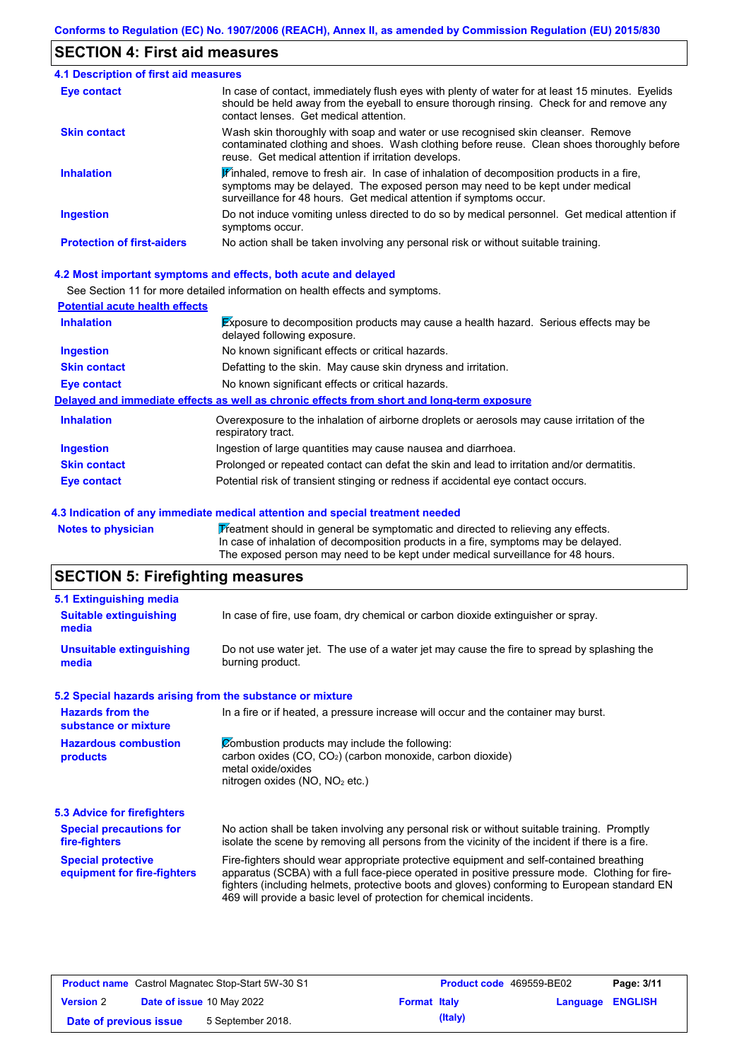## **SECTION 4: First aid measures**

| <b>4.1 Description of first aid measures</b> |                                                                                                                                                                                                                                                              |
|----------------------------------------------|--------------------------------------------------------------------------------------------------------------------------------------------------------------------------------------------------------------------------------------------------------------|
| <b>Eye contact</b>                           | In case of contact, immediately flush eyes with plenty of water for at least 15 minutes. Eyelids<br>should be held away from the eyeball to ensure thorough rinsing. Check for and remove any<br>contact lenses. Get medical attention.                      |
| <b>Skin contact</b>                          | Wash skin thoroughly with soap and water or use recognised skin cleanser. Remove<br>contaminated clothing and shoes. Wash clothing before reuse. Clean shoes thoroughly before<br>reuse. Get medical attention if irritation develops.                       |
| <b>Inhalation</b>                            | $\mathbf F$ inhaled, remove to fresh air. In case of inhalation of decomposition products in a fire,<br>symptoms may be delayed. The exposed person may need to be kept under medical<br>surveillance for 48 hours. Get medical attention if symptoms occur. |
| <b>Ingestion</b>                             | Do not induce vomiting unless directed to do so by medical personnel. Get medical attention if<br>symptoms occur.                                                                                                                                            |
| <b>Protection of first-aiders</b>            | No action shall be taken involving any personal risk or without suitable training.                                                                                                                                                                           |

#### **4.2 Most important symptoms and effects, both acute and delayed**

See Section 11 for more detailed information on health effects and symptoms.

| <b>Potential acute health effects</b> |                                                                                                                            |
|---------------------------------------|----------------------------------------------------------------------------------------------------------------------------|
| <b>Inhalation</b>                     | <b>Exposure to decomposition products may cause a health hazard. Serious effects may be</b><br>delayed following exposure. |
| <b>Ingestion</b>                      | No known significant effects or critical hazards.                                                                          |
| <b>Skin contact</b>                   | Defatting to the skin. May cause skin dryness and irritation.                                                              |
| Eye contact                           | No known significant effects or critical hazards.                                                                          |
|                                       | Delayed and immediate effects as well as chronic effects from short and long-term exposure                                 |
| <b>Inhalation</b>                     | Overexposure to the inhalation of airborne droplets or aerosols may cause irritation of the<br>respiratory tract.          |
| <b>Ingestion</b>                      | Ingestion of large quantities may cause nausea and diarrhoea.                                                              |
| <b>Skin contact</b>                   | Prolonged or repeated contact can defat the skin and lead to irritation and/or dermatitis.                                 |
| Eye contact                           | Potential risk of transient stinging or redness if accidental eye contact occurs.                                          |

#### **4.3 Indication of any immediate medical attention and special treatment needed**

Notes to physician **Treatment should in general be symptomatic and directed to relieving any effects.** In case of inhalation of decomposition products in a fire, symptoms may be delayed. The exposed person may need to be kept under medical surveillance for 48 hours.

# **SECTION 5: Firefighting measures**

| 5.1 Extinguishing media                                                                                                    |                                                                                                                                                                                                                                                                                                                                                                   |  |  |
|----------------------------------------------------------------------------------------------------------------------------|-------------------------------------------------------------------------------------------------------------------------------------------------------------------------------------------------------------------------------------------------------------------------------------------------------------------------------------------------------------------|--|--|
| In case of fire, use foam, dry chemical or carbon dioxide extinguisher or spray.<br><b>Suitable extinguishing</b><br>media |                                                                                                                                                                                                                                                                                                                                                                   |  |  |
| <b>Unsuitable extinguishing</b><br>media                                                                                   | Do not use water jet. The use of a water jet may cause the fire to spread by splashing the<br>burning product.                                                                                                                                                                                                                                                    |  |  |
| 5.2 Special hazards arising from the substance or mixture                                                                  |                                                                                                                                                                                                                                                                                                                                                                   |  |  |
| <b>Hazards from the</b><br>substance or mixture                                                                            | In a fire or if heated, a pressure increase will occur and the container may burst.                                                                                                                                                                                                                                                                               |  |  |
| <b>Hazardous combustion</b><br>products                                                                                    | Combustion products may include the following:<br>carbon oxides (CO, CO <sub>2</sub> ) (carbon monoxide, carbon dioxide)<br>metal oxide/oxides<br>nitrogen oxides (NO, NO <sub>2</sub> etc.)                                                                                                                                                                      |  |  |
| 5.3 Advice for firefighters                                                                                                |                                                                                                                                                                                                                                                                                                                                                                   |  |  |
| <b>Special precautions for</b><br>fire-fighters                                                                            | No action shall be taken involving any personal risk or without suitable training. Promptly<br>isolate the scene by removing all persons from the vicinity of the incident if there is a fire.                                                                                                                                                                    |  |  |
| <b>Special protective</b><br>equipment for fire-fighters                                                                   | Fire-fighters should wear appropriate protective equipment and self-contained breathing<br>apparatus (SCBA) with a full face-piece operated in positive pressure mode. Clothing for fire-<br>fighters (including helmets, protective boots and gloves) conforming to European standard EN<br>469 will provide a basic level of protection for chemical incidents. |  |  |

| <b>Product name</b> Castrol Magnatec Stop-Start 5W-30 S1 |  |                                  | <b>Product code</b> 469559-BE02 |         | Page: 3/11              |  |
|----------------------------------------------------------|--|----------------------------------|---------------------------------|---------|-------------------------|--|
| <b>Version 2</b>                                         |  | <b>Date of issue 10 May 2022</b> | <b>Format Italy</b>             |         | <b>Language ENGLISH</b> |  |
| Date of previous issue                                   |  | 5 September 2018.                |                                 | (Italy) |                         |  |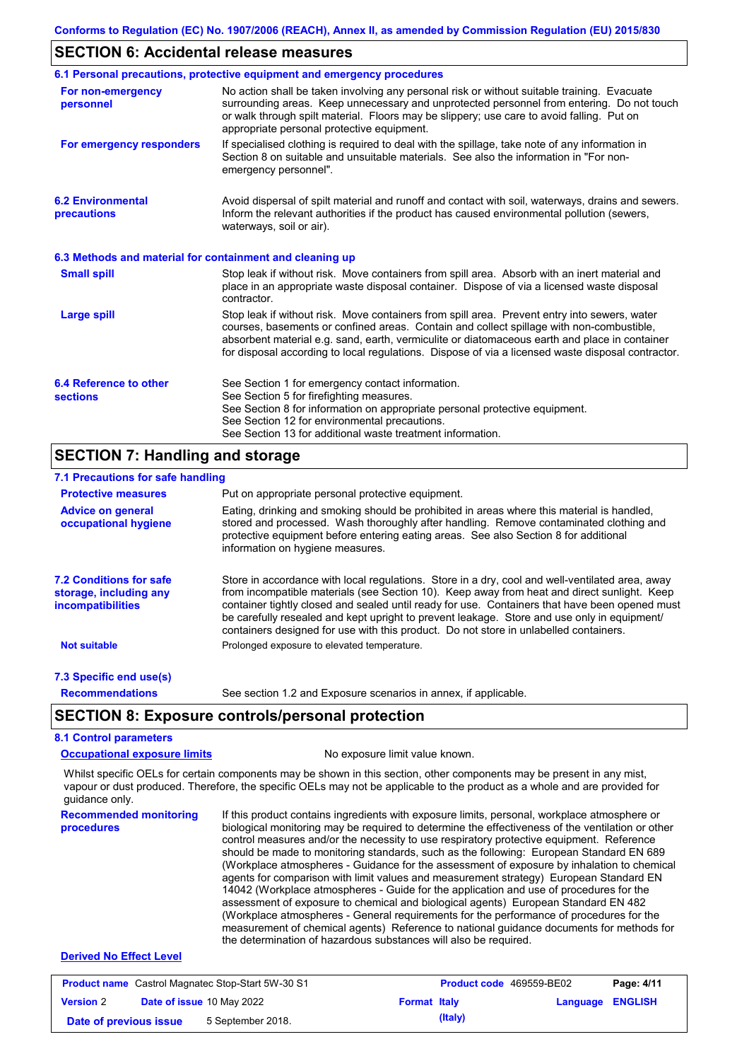#### **SECTION 6: Accidental release measures**

|                                                          | 6.1 Personal precautions, protective equipment and emergency procedures                                                                                                                                                                                                                                                                                                                        |
|----------------------------------------------------------|------------------------------------------------------------------------------------------------------------------------------------------------------------------------------------------------------------------------------------------------------------------------------------------------------------------------------------------------------------------------------------------------|
| For non-emergency<br>personnel                           | No action shall be taken involving any personal risk or without suitable training. Evacuate<br>surrounding areas. Keep unnecessary and unprotected personnel from entering. Do not touch<br>or walk through spilt material. Floors may be slippery; use care to avoid falling. Put on<br>appropriate personal protective equipment.                                                            |
| For emergency responders                                 | If specialised clothing is required to deal with the spillage, take note of any information in<br>Section 8 on suitable and unsuitable materials. See also the information in "For non-<br>emergency personnel".                                                                                                                                                                               |
| <b>6.2 Environmental</b><br>precautions                  | Avoid dispersal of spilt material and runoff and contact with soil, waterways, drains and sewers.<br>Inform the relevant authorities if the product has caused environmental pollution (sewers,<br>waterways, soil or air).                                                                                                                                                                    |
| 6.3 Methods and material for containment and cleaning up |                                                                                                                                                                                                                                                                                                                                                                                                |
| <b>Small spill</b>                                       | Stop leak if without risk. Move containers from spill area. Absorb with an inert material and<br>place in an appropriate waste disposal container. Dispose of via a licensed waste disposal<br>contractor.                                                                                                                                                                                     |
| <b>Large spill</b>                                       | Stop leak if without risk. Move containers from spill area. Prevent entry into sewers, water<br>courses, basements or confined areas. Contain and collect spillage with non-combustible,<br>absorbent material e.g. sand, earth, vermiculite or diatomaceous earth and place in container<br>for disposal according to local regulations. Dispose of via a licensed waste disposal contractor. |
| 6.4 Reference to other<br><b>sections</b>                | See Section 1 for emergency contact information.<br>See Section 5 for firefighting measures.<br>See Section 8 for information on appropriate personal protective equipment.<br>See Section 12 for environmental precautions.<br>See Section 13 for additional waste treatment information.                                                                                                     |
| <b>SECTION 7: Handling and storage</b>                   |                                                                                                                                                                                                                                                                                                                                                                                                |

## **7.1 Precautions for safe handling**

| 7.1 Precautions for safe handling                                                    |                                                                                                                                                                                                                                                                                                                                                                                                                                                                                          |  |
|--------------------------------------------------------------------------------------|------------------------------------------------------------------------------------------------------------------------------------------------------------------------------------------------------------------------------------------------------------------------------------------------------------------------------------------------------------------------------------------------------------------------------------------------------------------------------------------|--|
| <b>Protective measures</b>                                                           | Put on appropriate personal protective equipment.                                                                                                                                                                                                                                                                                                                                                                                                                                        |  |
| <b>Advice on general</b><br>occupational hygiene                                     | Eating, drinking and smoking should be prohibited in areas where this material is handled,<br>stored and processed. Wash thoroughly after handling. Remove contaminated clothing and<br>protective equipment before entering eating areas. See also Section 8 for additional<br>information on hygiene measures.                                                                                                                                                                         |  |
| <b>7.2 Conditions for safe</b><br>storage, including any<br><i>incompatibilities</i> | Store in accordance with local regulations. Store in a dry, cool and well-ventilated area, away<br>from incompatible materials (see Section 10). Keep away from heat and direct sunlight. Keep<br>container tightly closed and sealed until ready for use. Containers that have been opened must<br>be carefully resealed and kept upright to prevent leakage. Store and use only in equipment/<br>containers designed for use with this product. Do not store in unlabelled containers. |  |
| <b>Not suitable</b>                                                                  | Prolonged exposure to elevated temperature.                                                                                                                                                                                                                                                                                                                                                                                                                                              |  |
| 7.3 Specific end use(s)                                                              |                                                                                                                                                                                                                                                                                                                                                                                                                                                                                          |  |
| <b>Recommendations</b>                                                               | See section 1.2 and Exposure scenarios in annex, if applicable.                                                                                                                                                                                                                                                                                                                                                                                                                          |  |
|                                                                                      | <b>SECTION 8: Exposure controls/personal protection</b>                                                                                                                                                                                                                                                                                                                                                                                                                                  |  |
| <b>8.1 Control parameters</b>                                                        |                                                                                                                                                                                                                                                                                                                                                                                                                                                                                          |  |
| <b>Occupational exposure limits</b><br>No exposure limit value known.                |                                                                                                                                                                                                                                                                                                                                                                                                                                                                                          |  |
|                                                                                      |                                                                                                                                                                                                                                                                                                                                                                                                                                                                                          |  |

Whilst specific OELs for certain components may be shown in this section, other components may be present in any mist, vapour or dust produced. Therefore, the specific OELs may not be applicable to the product as a whole and are provided for guidance only.

**Recommended monitoring procedures** If this product contains ingredients with exposure limits, personal, workplace atmosphere or biological monitoring may be required to determine the effectiveness of the ventilation or other control measures and/or the necessity to use respiratory protective equipment. Reference should be made to monitoring standards, such as the following: European Standard EN 689 (Workplace atmospheres - Guidance for the assessment of exposure by inhalation to chemical agents for comparison with limit values and measurement strategy) European Standard EN 14042 (Workplace atmospheres - Guide for the application and use of procedures for the assessment of exposure to chemical and biological agents) European Standard EN 482 (Workplace atmospheres - General requirements for the performance of procedures for the measurement of chemical agents) Reference to national guidance documents for methods for the determination of hazardous substances will also be required.

#### **Derived No Effect Level**

| <b>Product name</b> Castrol Magnatec Stop-Start 5W-30 S1 |  |                                  | <b>Product code</b> 469559-BE02 |         | Page: 4/11              |  |
|----------------------------------------------------------|--|----------------------------------|---------------------------------|---------|-------------------------|--|
| <b>Version 2</b>                                         |  | <b>Date of issue 10 May 2022</b> | <b>Format Italy</b>             |         | <b>Language ENGLISH</b> |  |
| Date of previous issue                                   |  | 5 September 2018.                |                                 | (Italy) |                         |  |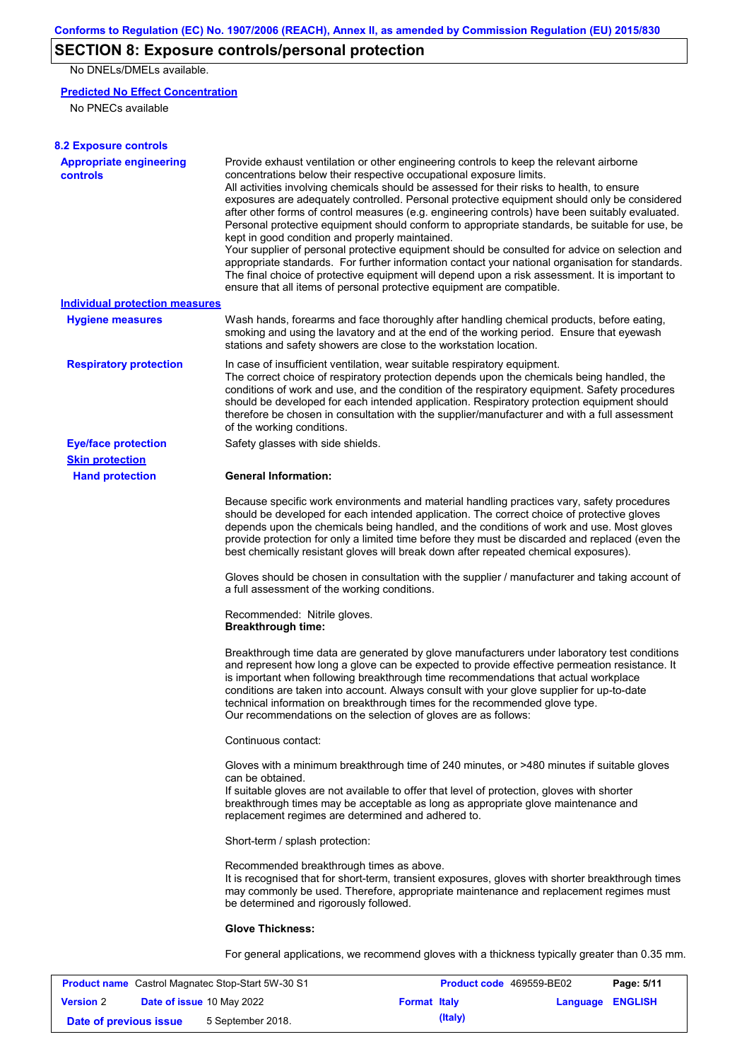# **SECTION 8: Exposure controls/personal protection**

No DNELs/DMELs available.

#### **Predicted No Effect Concentration**

No PNECs available

| <b>8.2 Exposure controls</b>                      |                                                                                                                                                                                                                                                                                                                                                                                                                                                                                                                                                                                                                                                                                                                                                                                                                                                                                                                                                                                                         |
|---------------------------------------------------|---------------------------------------------------------------------------------------------------------------------------------------------------------------------------------------------------------------------------------------------------------------------------------------------------------------------------------------------------------------------------------------------------------------------------------------------------------------------------------------------------------------------------------------------------------------------------------------------------------------------------------------------------------------------------------------------------------------------------------------------------------------------------------------------------------------------------------------------------------------------------------------------------------------------------------------------------------------------------------------------------------|
| <b>Appropriate engineering</b><br><b>controls</b> | Provide exhaust ventilation or other engineering controls to keep the relevant airborne<br>concentrations below their respective occupational exposure limits.<br>All activities involving chemicals should be assessed for their risks to health, to ensure<br>exposures are adequately controlled. Personal protective equipment should only be considered<br>after other forms of control measures (e.g. engineering controls) have been suitably evaluated.<br>Personal protective equipment should conform to appropriate standards, be suitable for use, be<br>kept in good condition and properly maintained.<br>Your supplier of personal protective equipment should be consulted for advice on selection and<br>appropriate standards. For further information contact your national organisation for standards.<br>The final choice of protective equipment will depend upon a risk assessment. It is important to<br>ensure that all items of personal protective equipment are compatible. |
| <b>Individual protection measures</b>             |                                                                                                                                                                                                                                                                                                                                                                                                                                                                                                                                                                                                                                                                                                                                                                                                                                                                                                                                                                                                         |
| <b>Hygiene measures</b>                           | Wash hands, forearms and face thoroughly after handling chemical products, before eating,<br>smoking and using the lavatory and at the end of the working period. Ensure that eyewash<br>stations and safety showers are close to the workstation location.                                                                                                                                                                                                                                                                                                                                                                                                                                                                                                                                                                                                                                                                                                                                             |
| <b>Respiratory protection</b>                     | In case of insufficient ventilation, wear suitable respiratory equipment.<br>The correct choice of respiratory protection depends upon the chemicals being handled, the<br>conditions of work and use, and the condition of the respiratory equipment. Safety procedures<br>should be developed for each intended application. Respiratory protection equipment should<br>therefore be chosen in consultation with the supplier/manufacturer and with a full assessment<br>of the working conditions.                                                                                                                                                                                                                                                                                                                                                                                                                                                                                                   |
| <b>Eye/face protection</b>                        | Safety glasses with side shields.                                                                                                                                                                                                                                                                                                                                                                                                                                                                                                                                                                                                                                                                                                                                                                                                                                                                                                                                                                       |
| <b>Skin protection</b>                            |                                                                                                                                                                                                                                                                                                                                                                                                                                                                                                                                                                                                                                                                                                                                                                                                                                                                                                                                                                                                         |
| <b>Hand protection</b>                            | <b>General Information:</b>                                                                                                                                                                                                                                                                                                                                                                                                                                                                                                                                                                                                                                                                                                                                                                                                                                                                                                                                                                             |
|                                                   | Because specific work environments and material handling practices vary, safety procedures<br>should be developed for each intended application. The correct choice of protective gloves<br>depends upon the chemicals being handled, and the conditions of work and use. Most gloves<br>provide protection for only a limited time before they must be discarded and replaced (even the<br>best chemically resistant gloves will break down after repeated chemical exposures).                                                                                                                                                                                                                                                                                                                                                                                                                                                                                                                        |
|                                                   | Gloves should be chosen in consultation with the supplier / manufacturer and taking account of<br>a full assessment of the working conditions.                                                                                                                                                                                                                                                                                                                                                                                                                                                                                                                                                                                                                                                                                                                                                                                                                                                          |
|                                                   | Recommended: Nitrile gloves.<br><b>Breakthrough time:</b>                                                                                                                                                                                                                                                                                                                                                                                                                                                                                                                                                                                                                                                                                                                                                                                                                                                                                                                                               |
|                                                   | Breakthrough time data are generated by glove manufacturers under laboratory test conditions<br>and represent how long a glove can be expected to provide effective permeation resistance. It<br>is important when following breakthrough time recommendations that actual workplace<br>conditions are taken into account. Always consult with your glove supplier for up-to-date<br>technical information on breakthrough times for the recommended glove type.<br>Our recommendations on the selection of gloves are as follows:                                                                                                                                                                                                                                                                                                                                                                                                                                                                      |
|                                                   | Continuous contact:                                                                                                                                                                                                                                                                                                                                                                                                                                                                                                                                                                                                                                                                                                                                                                                                                                                                                                                                                                                     |
|                                                   | Gloves with a minimum breakthrough time of 240 minutes, or >480 minutes if suitable gloves<br>can be obtained.<br>If suitable gloves are not available to offer that level of protection, gloves with shorter<br>breakthrough times may be acceptable as long as appropriate glove maintenance and<br>replacement regimes are determined and adhered to.                                                                                                                                                                                                                                                                                                                                                                                                                                                                                                                                                                                                                                                |
|                                                   | Short-term / splash protection:                                                                                                                                                                                                                                                                                                                                                                                                                                                                                                                                                                                                                                                                                                                                                                                                                                                                                                                                                                         |
|                                                   | Recommended breakthrough times as above.<br>It is recognised that for short-term, transient exposures, gloves with shorter breakthrough times<br>may commonly be used. Therefore, appropriate maintenance and replacement regimes must<br>be determined and rigorously followed.                                                                                                                                                                                                                                                                                                                                                                                                                                                                                                                                                                                                                                                                                                                        |
|                                                   | <b>Glove Thickness:</b>                                                                                                                                                                                                                                                                                                                                                                                                                                                                                                                                                                                                                                                                                                                                                                                                                                                                                                                                                                                 |
|                                                   | For general applications, we recommend gloves with a thickness typically greater than 0.35 mm.                                                                                                                                                                                                                                                                                                                                                                                                                                                                                                                                                                                                                                                                                                                                                                                                                                                                                                          |

| <b>Product name</b> Castrol Magnatec Stop-Start 5W-30 S1 |  |                           | <b>Product code</b> 469559-BE02 |         | Page: 5/11              |  |
|----------------------------------------------------------|--|---------------------------|---------------------------------|---------|-------------------------|--|
| <b>Version 2</b>                                         |  | Date of issue 10 May 2022 | <b>Format Italy</b>             |         | <b>Language ENGLISH</b> |  |
| Date of previous issue                                   |  | 5 September 2018.         |                                 | (Italy) |                         |  |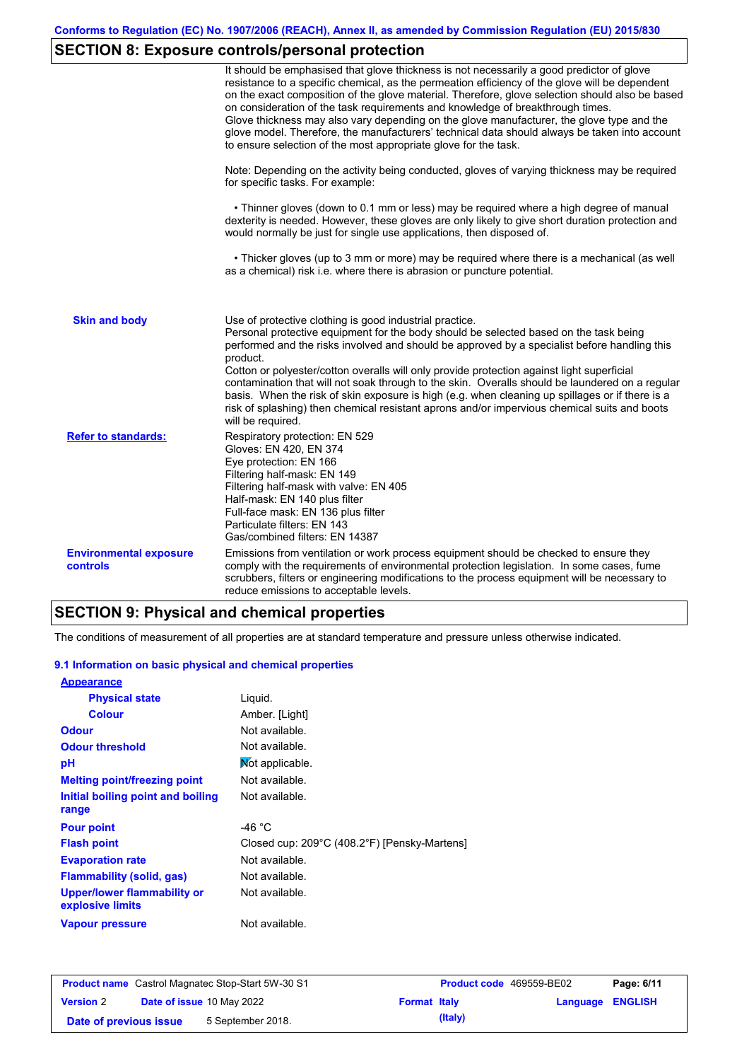# **SECTION 8: Exposure controls/personal protection**

|                                           | It should be emphasised that glove thickness is not necessarily a good predictor of glove<br>resistance to a specific chemical, as the permeation efficiency of the glove will be dependent<br>on the exact composition of the glove material. Therefore, glove selection should also be based<br>on consideration of the task requirements and knowledge of breakthrough times.<br>Glove thickness may also vary depending on the glove manufacturer, the glove type and the<br>glove model. Therefore, the manufacturers' technical data should always be taken into account<br>to ensure selection of the most appropriate glove for the task.                                     |
|-------------------------------------------|---------------------------------------------------------------------------------------------------------------------------------------------------------------------------------------------------------------------------------------------------------------------------------------------------------------------------------------------------------------------------------------------------------------------------------------------------------------------------------------------------------------------------------------------------------------------------------------------------------------------------------------------------------------------------------------|
|                                           | Note: Depending on the activity being conducted, gloves of varying thickness may be required<br>for specific tasks. For example:                                                                                                                                                                                                                                                                                                                                                                                                                                                                                                                                                      |
|                                           | • Thinner gloves (down to 0.1 mm or less) may be required where a high degree of manual<br>dexterity is needed. However, these gloves are only likely to give short duration protection and<br>would normally be just for single use applications, then disposed of.                                                                                                                                                                                                                                                                                                                                                                                                                  |
|                                           | • Thicker gloves (up to 3 mm or more) may be required where there is a mechanical (as well<br>as a chemical) risk i.e. where there is abrasion or puncture potential.                                                                                                                                                                                                                                                                                                                                                                                                                                                                                                                 |
| <b>Skin and body</b>                      | Use of protective clothing is good industrial practice.<br>Personal protective equipment for the body should be selected based on the task being<br>performed and the risks involved and should be approved by a specialist before handling this<br>product.<br>Cotton or polyester/cotton overalls will only provide protection against light superficial<br>contamination that will not soak through to the skin. Overalls should be laundered on a regular<br>basis. When the risk of skin exposure is high (e.g. when cleaning up spillages or if there is a<br>risk of splashing) then chemical resistant aprons and/or impervious chemical suits and boots<br>will be required. |
| <b>Refer to standards:</b>                | Respiratory protection: EN 529<br>Gloves: EN 420, EN 374<br>Eye protection: EN 166<br>Filtering half-mask: EN 149<br>Filtering half-mask with valve: EN 405<br>Half-mask: EN 140 plus filter<br>Full-face mask: EN 136 plus filter<br>Particulate filters: EN 143<br>Gas/combined filters: EN 14387                                                                                                                                                                                                                                                                                                                                                                                   |
| <b>Environmental exposure</b><br>controls | Emissions from ventilation or work process equipment should be checked to ensure they<br>comply with the requirements of environmental protection legislation. In some cases, fume<br>scrubbers, filters or engineering modifications to the process equipment will be necessary to<br>reduce emissions to acceptable levels.                                                                                                                                                                                                                                                                                                                                                         |

## **SECTION 9: Physical and chemical properties**

The conditions of measurement of all properties are at standard temperature and pressure unless otherwise indicated.

#### **9.1 Information on basic physical and chemical properties**

| <b>Appearance</b>                                      |                                              |
|--------------------------------------------------------|----------------------------------------------|
| <b>Physical state</b>                                  | Liquid.                                      |
| <b>Colour</b>                                          | Amber. [Light]                               |
| <b>Odour</b>                                           | Not available.                               |
| <b>Odour threshold</b>                                 | Not available.                               |
| рH                                                     | Mot applicable.                              |
| <b>Melting point/freezing point</b>                    | Not available.                               |
| Initial boiling point and boiling                      | Not available.                               |
| range                                                  |                                              |
| <b>Pour point</b>                                      | -46 $^{\circ}$ C                             |
| <b>Flash point</b>                                     | Closed cup: 209°C (408.2°F) [Pensky-Martens] |
| <b>Evaporation rate</b>                                | Not available.                               |
| <b>Flammability (solid, gas)</b>                       | Not available.                               |
| <b>Upper/lower flammability or</b><br>explosive limits | Not available.                               |
| <b>Vapour pressure</b>                                 | Not available.                               |

| <b>Product name</b> Castrol Magnatec Stop-Start 5W-30 S1 |  |                                  | <b>Product code</b> 469559-BE02 |         | Page: 6/11              |  |
|----------------------------------------------------------|--|----------------------------------|---------------------------------|---------|-------------------------|--|
| <b>Version 2</b>                                         |  | <b>Date of issue 10 May 2022</b> | <b>Format Italy</b>             |         | <b>Language ENGLISH</b> |  |
| Date of previous issue                                   |  | 5 September 2018.                |                                 | (Italy) |                         |  |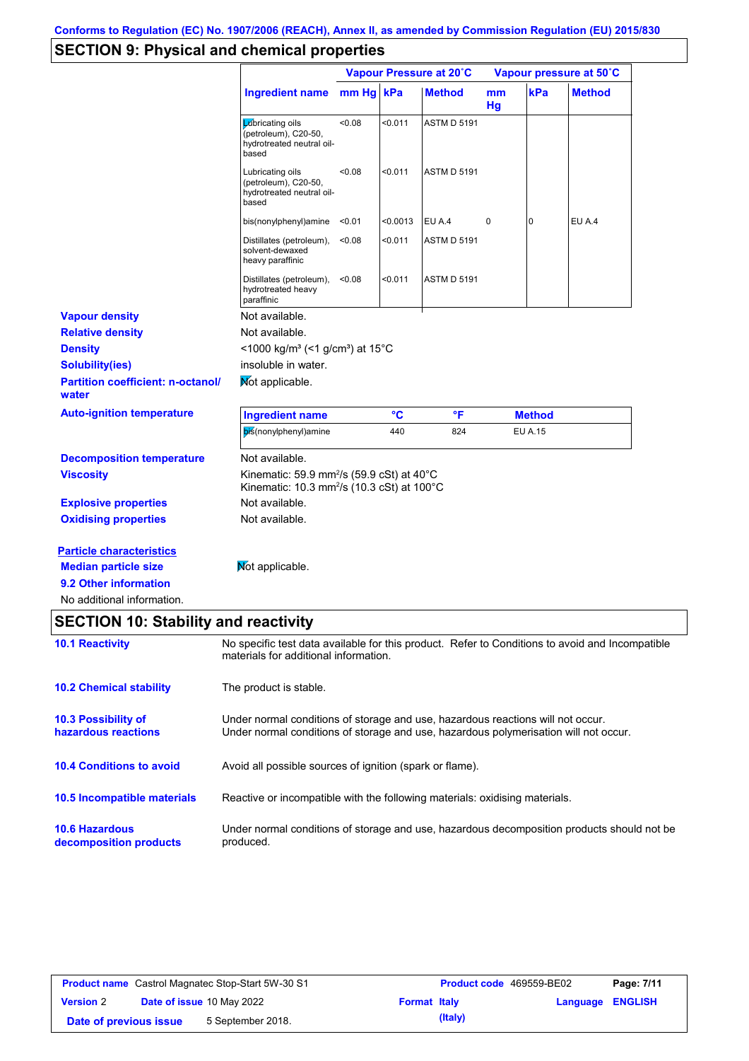# **SECTION 9: Physical and chemical properties**

|                                                                                                                                                                      |                                                                                                                                                                         | Vapour Pressure at 20°C |          |                    | Vapour pressure at 50°C |                |               |  |
|----------------------------------------------------------------------------------------------------------------------------------------------------------------------|-------------------------------------------------------------------------------------------------------------------------------------------------------------------------|-------------------------|----------|--------------------|-------------------------|----------------|---------------|--|
|                                                                                                                                                                      | Ingredient name mm Hg kPa                                                                                                                                               |                         |          | <b>Method</b>      | mm<br>Hg                | kPa            | <b>Method</b> |  |
|                                                                                                                                                                      | Lubricating oils<br>(petroleum), C20-50,<br>hydrotreated neutral oil-<br>based                                                                                          | 0.08                    | < 0.011  | <b>ASTM D 5191</b> |                         |                |               |  |
|                                                                                                                                                                      | Lubricating oils<br>(petroleum), C20-50,<br>hydrotreated neutral oil-<br>based                                                                                          | < 0.08                  | $0.011$  | <b>ASTM D 5191</b> |                         |                |               |  |
|                                                                                                                                                                      | bis(nonylphenyl)amine                                                                                                                                                   | < 0.01                  | < 0.0013 | EU A.4             | 0                       | 0              | EU A.4        |  |
|                                                                                                                                                                      | Distillates (petroleum),<br>solvent-dewaxed<br>heavy paraffinic                                                                                                         | < 0.08                  | < 0.011  | <b>ASTM D 5191</b> |                         |                |               |  |
|                                                                                                                                                                      | Distillates (petroleum),<br>hydrotreated heavy<br>paraffinic                                                                                                            | < 0.08                  | $0.011$  | <b>ASTM D 5191</b> |                         |                |               |  |
| <b>Vapour density</b>                                                                                                                                                | Not available.                                                                                                                                                          |                         |          |                    |                         |                |               |  |
| <b>Relative density</b>                                                                                                                                              | Not available.                                                                                                                                                          |                         |          |                    |                         |                |               |  |
| <b>Density</b>                                                                                                                                                       | <1000 kg/m <sup>3</sup> (<1 g/cm <sup>3</sup> ) at 15 <sup>°</sup> C                                                                                                    |                         |          |                    |                         |                |               |  |
| <b>Solubility(ies)</b>                                                                                                                                               | insoluble in water.                                                                                                                                                     |                         |          |                    |                         |                |               |  |
| <b>Partition coefficient: n-octanol/</b><br>water                                                                                                                    | Mot applicable.                                                                                                                                                         |                         |          |                    |                         |                |               |  |
| <b>Auto-ignition temperature</b>                                                                                                                                     | <b>Ingredient name</b>                                                                                                                                                  |                         | °C       | °F                 |                         | <b>Method</b>  |               |  |
|                                                                                                                                                                      | bis(nonylphenyl)amine                                                                                                                                                   |                         | 440      | 824                |                         | <b>EU A.15</b> |               |  |
| <b>Decomposition temperature</b>                                                                                                                                     | Not available.                                                                                                                                                          |                         |          |                    |                         |                |               |  |
| <b>Viscosity</b>                                                                                                                                                     | Kinematic: 59.9 mm <sup>2</sup> /s (59.9 cSt) at 40 $^{\circ}$ C<br>Kinematic: 10.3 mm <sup>2</sup> /s (10.3 cSt) at 100°C                                              |                         |          |                    |                         |                |               |  |
| <b>Explosive properties</b>                                                                                                                                          | Not available.                                                                                                                                                          |                         |          |                    |                         |                |               |  |
| <b>Oxidising properties</b>                                                                                                                                          | Not available.                                                                                                                                                          |                         |          |                    |                         |                |               |  |
| <b>Particle characteristics</b><br><b>Median particle size</b><br>9.2 Other information<br>No additional information.<br><b>SECTION 10: Stability and reactivity</b> | Mot applicable.                                                                                                                                                         |                         |          |                    |                         |                |               |  |
| <b>10.1 Reactivity</b>                                                                                                                                               | No specific test data available for this product. Refer to Conditions to avoid and Incompatible<br>materials for additional information.                                |                         |          |                    |                         |                |               |  |
| <b>10.2 Chemical stability</b>                                                                                                                                       | The product is stable.                                                                                                                                                  |                         |          |                    |                         |                |               |  |
| 10.3 Possibility of<br>hazardous reactions                                                                                                                           | Under normal conditions of storage and use, hazardous reactions will not occur.<br>Under normal conditions of storage and use, hazardous polymerisation will not occur. |                         |          |                    |                         |                |               |  |
| <b>10.4 Conditions to avoid</b>                                                                                                                                      | Avoid all possible sources of ignition (spark or flame).                                                                                                                |                         |          |                    |                         |                |               |  |
| 10.5 Incompatible materials                                                                                                                                          | Reactive or incompatible with the following materials: oxidising materials.                                                                                             |                         |          |                    |                         |                |               |  |
| <b>10.6 Hazardous</b><br>decomposition products                                                                                                                      | Under normal conditions of storage and use, hazardous decomposition products should not be<br>produced.                                                                 |                         |          |                    |                         |                |               |  |
|                                                                                                                                                                      |                                                                                                                                                                         |                         |          |                    |                         |                |               |  |

| <b>Product name</b> Castrol Magnatec Stop-Start 5W-30 S1 |  |                                  | <b>Product code</b> 469559-BE02 |         | Page: 7/11              |  |
|----------------------------------------------------------|--|----------------------------------|---------------------------------|---------|-------------------------|--|
| <b>Version 2</b>                                         |  | <b>Date of issue 10 May 2022</b> | <b>Format Italy</b>             |         | <b>Language ENGLISH</b> |  |
| Date of previous issue                                   |  | 5 September 2018.                |                                 | (Italy) |                         |  |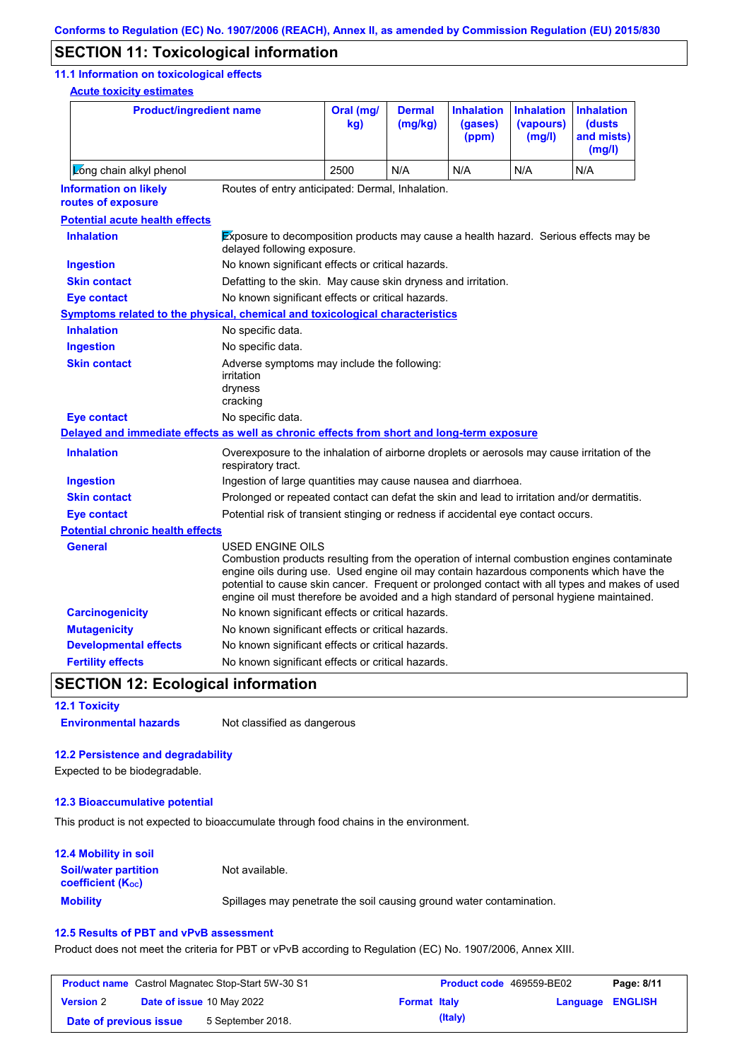## **SECTION 11: Toxicological information**

#### **11.1 Information on toxicological effects**

**Acute toxicity estimates**

| <b>Product/ingredient name</b>                                                             |                                                                                                                                                                                                                                                                                                                                                                                                                 | Oral (mg/<br>kg) | <b>Dermal</b><br>(mq/kg) | <b>Inhalation</b><br>(gases)<br>(ppm) | <b>Inhalation</b><br>(vapours)<br>(mg/l) | <b>Inhalation</b><br>(dusts)<br>and mists)<br>(mg/l) |
|--------------------------------------------------------------------------------------------|-----------------------------------------------------------------------------------------------------------------------------------------------------------------------------------------------------------------------------------------------------------------------------------------------------------------------------------------------------------------------------------------------------------------|------------------|--------------------------|---------------------------------------|------------------------------------------|------------------------------------------------------|
| Long chain alkyl phenol                                                                    |                                                                                                                                                                                                                                                                                                                                                                                                                 | 2500             | N/A                      | N/A                                   | N/A                                      | N/A                                                  |
| <b>Information on likely</b><br>routes of exposure                                         | Routes of entry anticipated: Dermal, Inhalation.                                                                                                                                                                                                                                                                                                                                                                |                  |                          |                                       |                                          |                                                      |
| <b>Potential acute health effects</b>                                                      |                                                                                                                                                                                                                                                                                                                                                                                                                 |                  |                          |                                       |                                          |                                                      |
| <b>Inhalation</b>                                                                          | Exposure to decomposition products may cause a health hazard. Serious effects may be<br>delayed following exposure.                                                                                                                                                                                                                                                                                             |                  |                          |                                       |                                          |                                                      |
| <b>Ingestion</b>                                                                           | No known significant effects or critical hazards.                                                                                                                                                                                                                                                                                                                                                               |                  |                          |                                       |                                          |                                                      |
| <b>Skin contact</b>                                                                        | Defatting to the skin. May cause skin dryness and irritation.                                                                                                                                                                                                                                                                                                                                                   |                  |                          |                                       |                                          |                                                      |
| <b>Eye contact</b>                                                                         | No known significant effects or critical hazards.                                                                                                                                                                                                                                                                                                                                                               |                  |                          |                                       |                                          |                                                      |
| Symptoms related to the physical, chemical and toxicological characteristics               |                                                                                                                                                                                                                                                                                                                                                                                                                 |                  |                          |                                       |                                          |                                                      |
| <b>Inhalation</b>                                                                          | No specific data.                                                                                                                                                                                                                                                                                                                                                                                               |                  |                          |                                       |                                          |                                                      |
| <b>Ingestion</b>                                                                           | No specific data.                                                                                                                                                                                                                                                                                                                                                                                               |                  |                          |                                       |                                          |                                                      |
| <b>Skin contact</b>                                                                        | Adverse symptoms may include the following:<br>irritation<br>dryness<br>cracking                                                                                                                                                                                                                                                                                                                                |                  |                          |                                       |                                          |                                                      |
| <b>Eye contact</b>                                                                         | No specific data.                                                                                                                                                                                                                                                                                                                                                                                               |                  |                          |                                       |                                          |                                                      |
| Delayed and immediate effects as well as chronic effects from short and long-term exposure |                                                                                                                                                                                                                                                                                                                                                                                                                 |                  |                          |                                       |                                          |                                                      |
| <b>Inhalation</b>                                                                          | Overexposure to the inhalation of airborne droplets or aerosols may cause irritation of the<br>respiratory tract.                                                                                                                                                                                                                                                                                               |                  |                          |                                       |                                          |                                                      |
| <b>Ingestion</b>                                                                           | Ingestion of large quantities may cause nausea and diarrhoea.                                                                                                                                                                                                                                                                                                                                                   |                  |                          |                                       |                                          |                                                      |
| <b>Skin contact</b>                                                                        | Prolonged or repeated contact can defat the skin and lead to irritation and/or dermatitis.                                                                                                                                                                                                                                                                                                                      |                  |                          |                                       |                                          |                                                      |
| <b>Eye contact</b>                                                                         | Potential risk of transient stinging or redness if accidental eye contact occurs.                                                                                                                                                                                                                                                                                                                               |                  |                          |                                       |                                          |                                                      |
| <b>Potential chronic health effects</b>                                                    |                                                                                                                                                                                                                                                                                                                                                                                                                 |                  |                          |                                       |                                          |                                                      |
| <b>General</b>                                                                             | <b>USED ENGINE OILS</b><br>Combustion products resulting from the operation of internal combustion engines contaminate<br>engine oils during use. Used engine oil may contain hazardous components which have the<br>potential to cause skin cancer. Frequent or prolonged contact with all types and makes of used<br>engine oil must therefore be avoided and a high standard of personal hygiene maintained. |                  |                          |                                       |                                          |                                                      |
| <b>Carcinogenicity</b>                                                                     | No known significant effects or critical hazards.                                                                                                                                                                                                                                                                                                                                                               |                  |                          |                                       |                                          |                                                      |
| <b>Mutagenicity</b>                                                                        | No known significant effects or critical hazards.                                                                                                                                                                                                                                                                                                                                                               |                  |                          |                                       |                                          |                                                      |
| <b>Developmental effects</b>                                                               | No known significant effects or critical hazards.                                                                                                                                                                                                                                                                                                                                                               |                  |                          |                                       |                                          |                                                      |
| <b>Fertility effects</b>                                                                   | No known significant effects or critical hazards.                                                                                                                                                                                                                                                                                                                                                               |                  |                          |                                       |                                          |                                                      |
|                                                                                            |                                                                                                                                                                                                                                                                                                                                                                                                                 |                  |                          |                                       |                                          |                                                      |

## **SECTION 12: Ecological information**

**12.1 Toxicity Environmental hazards** Not classified as dangerous

#### **12.2 Persistence and degradability**

Expected to be biodegradable.

#### **12.3 Bioaccumulative potential**

This product is not expected to bioaccumulate through food chains in the environment.

| <b>12.4 Mobility in soil</b>                                  |                                                                      |
|---------------------------------------------------------------|----------------------------------------------------------------------|
| <b>Soil/water partition</b><br>coefficient (K <sub>oc</sub> ) | Not available.                                                       |
| <b>Mobility</b>                                               | Spillages may penetrate the soil causing ground water contamination. |

#### **12.5 Results of PBT and vPvB assessment**

Product does not meet the criteria for PBT or vPvB according to Regulation (EC) No. 1907/2006, Annex XIII.

| <b>Product name</b> Castrol Magnatec Stop-Start 5W-30 S1 |  |                                  | Product code 469559-BE02 | Page: 8/11 |                         |  |
|----------------------------------------------------------|--|----------------------------------|--------------------------|------------|-------------------------|--|
| <b>Version 2</b>                                         |  | <b>Date of issue 10 May 2022</b> | <b>Format Italy</b>      |            | <b>Language ENGLISH</b> |  |
| Date of previous issue                                   |  | 5 September 2018.                |                          | (Italy)    |                         |  |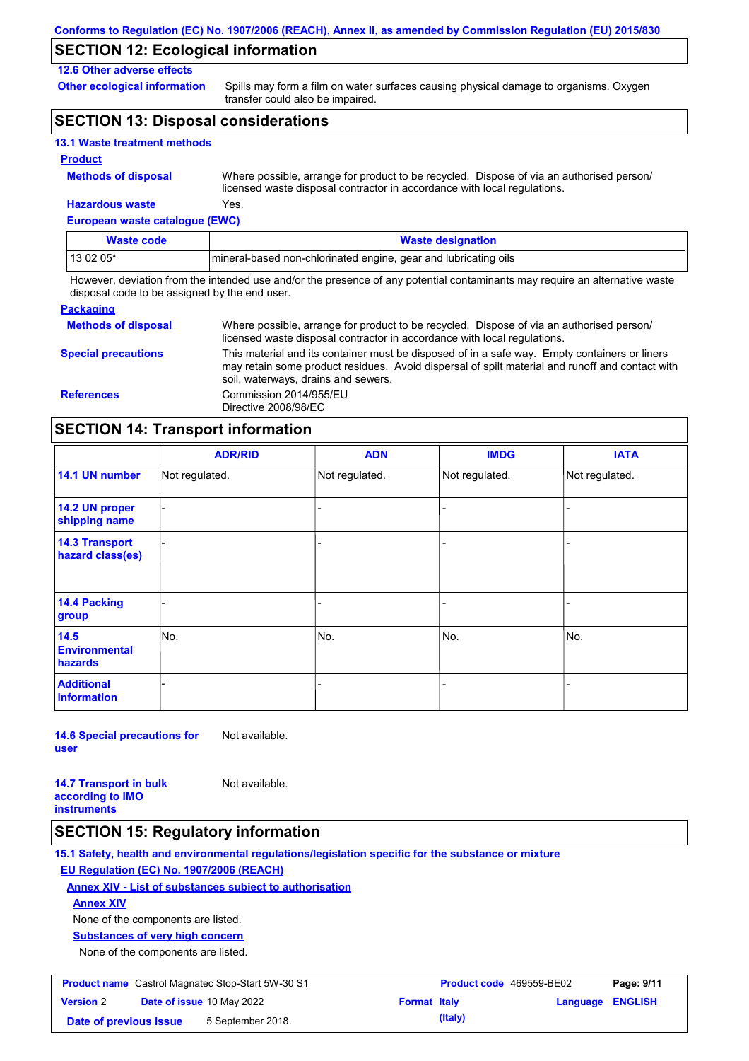## **SECTION 12: Ecological information**

### **12.6 Other adverse effects**

**Other ecological information**

Spills may form a film on water surfaces causing physical damage to organisms. Oxygen transfer could also be impaired.

## **SECTION 13: Disposal considerations**

|  |  | <b>13.1 Waste treatment methods</b> |  |
|--|--|-------------------------------------|--|
|--|--|-------------------------------------|--|

#### **Product**

| <b>Methods of disposal</b> |  |  |  |  |
|----------------------------|--|--|--|--|
|----------------------------|--|--|--|--|

**Hazardous waste** Yes. Where possible, arrange for product to be recycled. Dispose of via an authorised person/ licensed waste disposal contractor in accordance with local regulations.

**European waste catalogue (EWC)**

| Waste code | <b>Waste designation</b>                                         |
|------------|------------------------------------------------------------------|
| 13 02 05*  | Imineral-based non-chlorinated engine, gear and lubricating oils |

However, deviation from the intended use and/or the presence of any potential contaminants may require an alternative waste disposal code to be assigned by the end user.

| <b>Packaging</b>           |                                                                                                                                                                                                                                         |
|----------------------------|-----------------------------------------------------------------------------------------------------------------------------------------------------------------------------------------------------------------------------------------|
| <b>Methods of disposal</b> | Where possible, arrange for product to be recycled. Dispose of via an authorised person/<br>licensed waste disposal contractor in accordance with local regulations.                                                                    |
| <b>Special precautions</b> | This material and its container must be disposed of in a safe way. Empty containers or liners<br>may retain some product residues. Avoid dispersal of spilt material and runoff and contact with<br>soil, waterways, drains and sewers. |
| <b>References</b>          | Commission 2014/955/EU<br>Directive 2008/98/EC                                                                                                                                                                                          |

## **SECTION 14: Transport information**

|                                           | <b>ADR/RID</b> | <b>ADN</b>     | <b>IMDG</b>    | <b>IATA</b>    |  |
|-------------------------------------------|----------------|----------------|----------------|----------------|--|
| 14.1 UN number                            | Not regulated. | Not regulated. | Not regulated. | Not regulated. |  |
| 14.2 UN proper<br>shipping name           |                |                |                |                |  |
| <b>14.3 Transport</b><br>hazard class(es) |                |                |                |                |  |
| <b>14.4 Packing</b><br>group              |                |                |                |                |  |
| 14.5<br><b>Environmental</b><br>hazards   | No.            | No.            | No.            | No.            |  |
| <b>Additional</b><br>information          |                |                |                |                |  |

**14.6 Special precautions for user** Not available.

**14.7 Transport in bulk according to IMO instruments** Not available.

### **SECTION 15: Regulatory information**

**15.1 Safety, health and environmental regulations/legislation specific for the substance or mixture EU Regulation (EC) No. 1907/2006 (REACH)**

#### **Annex XIV - List of substances subject to authorisation**

**Annex XIV**

None of the components are listed.

**Substances of very high concern**

None of the components are listed.

| <b>Product name</b> Castrol Magnatec Stop-Start 5W-30 S1 |  | <b>Product code</b> 469559-BE02 |                     | Page: 9/11 |                         |  |
|----------------------------------------------------------|--|---------------------------------|---------------------|------------|-------------------------|--|
| <b>Version 2</b>                                         |  | Date of issue 10 May 2022       | <b>Format Italy</b> |            | <b>Language ENGLISH</b> |  |
| Date of previous issue                                   |  | 5 September 2018.               |                     | (Italy)    |                         |  |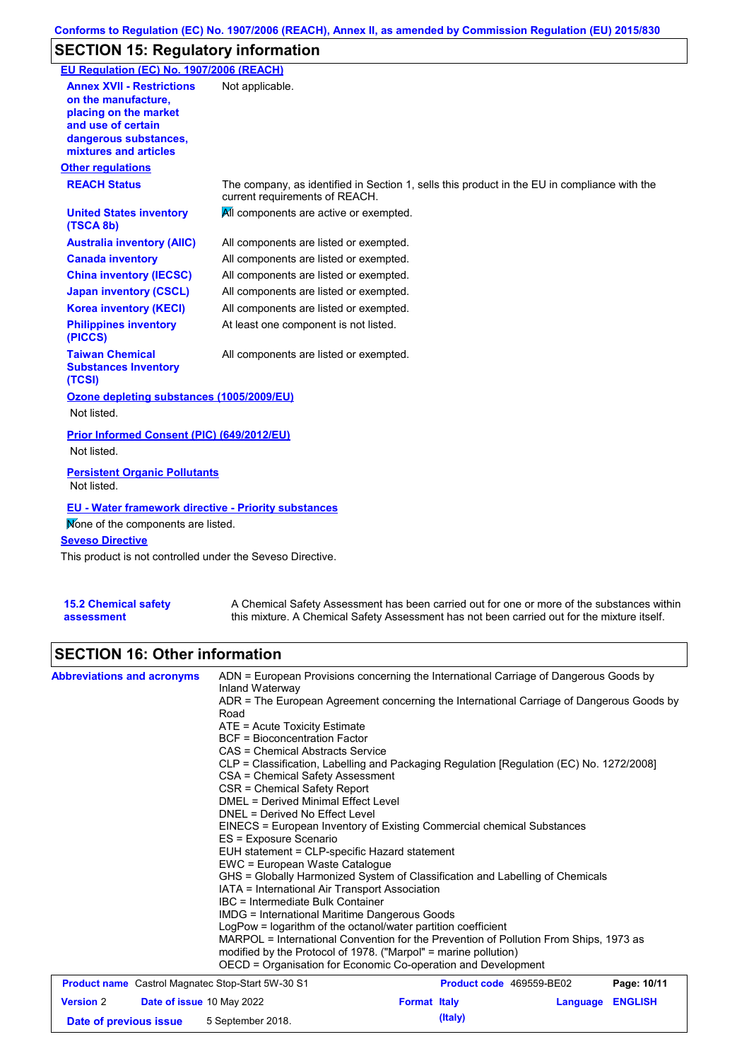# **SECTION 15: Regulatory information**

| EU Regulation (EC) No. 1907/2006 (REACH)                                                                                                                 |                                                                                                                                |
|----------------------------------------------------------------------------------------------------------------------------------------------------------|--------------------------------------------------------------------------------------------------------------------------------|
| <b>Annex XVII - Restrictions</b><br>on the manufacture.<br>placing on the market<br>and use of certain<br>dangerous substances,<br>mixtures and articles | Not applicable.                                                                                                                |
| <b>Other regulations</b>                                                                                                                                 |                                                                                                                                |
| <b>REACH Status</b>                                                                                                                                      | The company, as identified in Section 1, sells this product in the EU in compliance with the<br>current requirements of REACH. |
| <b>United States inventory</b><br>(TSCA 8b)                                                                                                              | All components are active or exempted.                                                                                         |
| <b>Australia inventory (AIIC)</b>                                                                                                                        | All components are listed or exempted.                                                                                         |
| <b>Canada inventory</b>                                                                                                                                  | All components are listed or exempted.                                                                                         |
| <b>China inventory (IECSC)</b>                                                                                                                           | All components are listed or exempted.                                                                                         |
| <b>Japan inventory (CSCL)</b>                                                                                                                            | All components are listed or exempted.                                                                                         |
| <b>Korea inventory (KECI)</b>                                                                                                                            | All components are listed or exempted.                                                                                         |
| <b>Philippines inventory</b><br>(PICCS)                                                                                                                  | At least one component is not listed.                                                                                          |
| <b>Taiwan Chemical</b><br><b>Substances Inventory</b><br>(TCSI)                                                                                          | All components are listed or exempted.                                                                                         |
| Ozone depleting substances (1005/2009/EU)                                                                                                                |                                                                                                                                |
| Not listed.                                                                                                                                              |                                                                                                                                |
| Prior Informed Consent (PIC) (649/2012/EU)<br>Not listed.                                                                                                |                                                                                                                                |
| <b>Persistent Organic Pollutants</b><br>Not listed.                                                                                                      |                                                                                                                                |
| <b>EU - Water framework directive - Priority substances</b><br>Mone of the components are listed.                                                        |                                                                                                                                |
| <b>Seveso Directive</b><br>This product is not controlled under the Seveso Directive.                                                                    |                                                                                                                                |
| <b>15.2 Chemical safety</b>                                                                                                                              | A Chemical Safety Assessment has been carried out for one or more of the substances within                                     |

| assessment |  |
|------------|--|
|            |  |

A Chemical Safety Assessment has been carried out for one or more of the substances within this mixture. A Chemical Safety Assessment has not been carried out for the mixture itself.

## **SECTION 16: Other information**

| <b>Abbreviations and acronyms</b>                        | ADN = European Provisions concerning the International Carriage of Dangerous Goods by<br>Inland Waterway<br>ADR = The European Agreement concerning the International Carriage of Dangerous Goods by<br>Road<br>ATE = Acute Toxicity Estimate<br><b>BCF</b> = Bioconcentration Factor<br>CAS = Chemical Abstracts Service<br>CLP = Classification, Labelling and Packaging Regulation [Regulation (EC) No. 1272/2008]<br>CSA = Chemical Safety Assessment<br>CSR = Chemical Safety Report<br>DMEL = Derived Minimal Effect Level<br>DNEL = Derived No Effect Level<br>EINECS = European Inventory of Existing Commercial chemical Substances<br>ES = Exposure Scenario<br>EUH statement = CLP-specific Hazard statement<br>EWC = European Waste Catalogue<br>GHS = Globally Harmonized System of Classification and Labelling of Chemicals<br>IATA = International Air Transport Association<br>IBC = Intermediate Bulk Container<br><b>IMDG</b> = International Maritime Dangerous Goods |                     |                          |                |
|----------------------------------------------------------|-------------------------------------------------------------------------------------------------------------------------------------------------------------------------------------------------------------------------------------------------------------------------------------------------------------------------------------------------------------------------------------------------------------------------------------------------------------------------------------------------------------------------------------------------------------------------------------------------------------------------------------------------------------------------------------------------------------------------------------------------------------------------------------------------------------------------------------------------------------------------------------------------------------------------------------------------------------------------------------------|---------------------|--------------------------|----------------|
|                                                          | LogPow = logarithm of the octanol/water partition coefficient<br>MARPOL = International Convention for the Prevention of Pollution From Ships, 1973 as<br>modified by the Protocol of 1978. ("Marpol" = marine pollution)<br>OECD = Organisation for Economic Co-operation and Development                                                                                                                                                                                                                                                                                                                                                                                                                                                                                                                                                                                                                                                                                                |                     |                          |                |
| <b>Product name</b> Castrol Magnatec Stop-Start 5W-30 S1 |                                                                                                                                                                                                                                                                                                                                                                                                                                                                                                                                                                                                                                                                                                                                                                                                                                                                                                                                                                                           |                     | Product code 469559-BE02 | Page: 10/11    |
| <b>Version 2</b><br><b>Date of issue 10 May 2022</b>     |                                                                                                                                                                                                                                                                                                                                                                                                                                                                                                                                                                                                                                                                                                                                                                                                                                                                                                                                                                                           | <b>Format Italy</b> | Language                 | <b>ENGLISH</b> |
| Date of previous issue                                   | 5 September 2018.                                                                                                                                                                                                                                                                                                                                                                                                                                                                                                                                                                                                                                                                                                                                                                                                                                                                                                                                                                         | (Italy)             |                          |                |